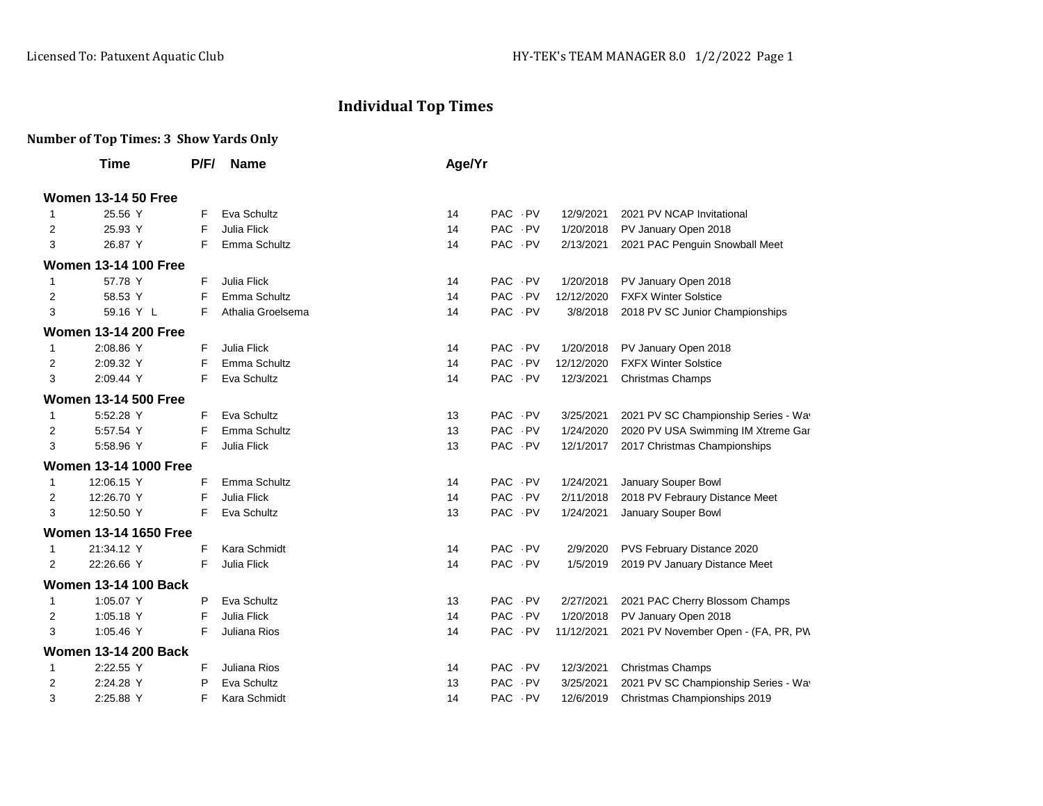## **Individual Top Times**

## **Number of Top Times: 3 Show Yards Only**

|              | Time                         | P/F/ | <b>Name</b>        | Age/Yr |                    |            |                                      |
|--------------|------------------------------|------|--------------------|--------|--------------------|------------|--------------------------------------|
|              | <b>Women 13-14 50 Free</b>   |      |                    |        |                    |            |                                      |
| 1            | 25.56 Y                      | F    | Eva Schultz        | 14     | PAC PV             | 12/9/2021  | 2021 PV NCAP Invitational            |
| 2            | 25.93 Y                      | F    | <b>Julia Flick</b> | 14     | PAC PV             | 1/20/2018  | PV January Open 2018                 |
| 3            | 26.87 Y                      | F    | Emma Schultz       | 14     | PAC PV             | 2/13/2021  | 2021 PAC Penguin Snowball Meet       |
|              | <b>Women 13-14 100 Free</b>  |      |                    |        |                    |            |                                      |
| 1            | 57.78 Y                      | F    | Julia Flick        | 14     | PAC PV             | 1/20/2018  | PV January Open 2018                 |
| 2            | 58.53 Y                      | F    | Emma Schultz       | 14     | PAC PV             | 12/12/2020 | <b>FXFX Winter Solstice</b>          |
| 3            | 59.16 Y L                    | F    | Athalia Groelsema  | 14     | PAC PV             | 3/8/2018   | 2018 PV SC Junior Championships      |
|              | <b>Women 13-14 200 Free</b>  |      |                    |        |                    |            |                                      |
| 1            | 2:08.86 Y                    | F    | Julia Flick        | 14     | PAC PV             | 1/20/2018  | PV January Open 2018                 |
| 2            | 2:09.32 Y                    | F    | Emma Schultz       | 14     | PAC PV             | 12/12/2020 | <b>FXFX Winter Solstice</b>          |
| 3            | 2:09.44 Y                    | F    | Eva Schultz        | 14     | PAC PV             | 12/3/2021  | <b>Christmas Champs</b>              |
|              | <b>Women 13-14 500 Free</b>  |      |                    |        |                    |            |                                      |
| 1            | 5:52.28 Y                    | F    | Eva Schultz        | 13     | <b>PAC</b><br>. PV | 3/25/2021  | 2021 PV SC Championship Series - Way |
| 2            | 5:57.54 Y                    | F    | Emma Schultz       | 13     | PAC PV             | 1/24/2020  | 2020 PV USA Swimming IM Xtreme Gar   |
| 3            | 5:58.96 Y                    | F    | Julia Flick        | 13     | PAC PV             | 12/1/2017  | 2017 Christmas Championships         |
|              | <b>Women 13-14 1000 Free</b> |      |                    |        |                    |            |                                      |
| 1            | 12:06.15 Y                   | F    | Emma Schultz       | 14     | PAC PV             | 1/24/2021  | January Souper Bowl                  |
| 2            | 12:26.70 Y                   | F    | <b>Julia Flick</b> | 14     | PAC PV             | 2/11/2018  | 2018 PV Febraury Distance Meet       |
| 3            | 12:50.50 Y                   | F    | Eva Schultz        | 13     | PAC PV             | 1/24/2021  | January Souper Bowl                  |
|              | <b>Women 13-14 1650 Free</b> |      |                    |        |                    |            |                                      |
| 1            | 21:34.12 Y                   | F    | Kara Schmidt       | 14     | PAC PV             | 2/9/2020   | PVS February Distance 2020           |
| 2            | 22:26.66 Y                   | F    | Julia Flick        | 14     | PAC PV             | 1/5/2019   | 2019 PV January Distance Meet        |
|              | <b>Women 13-14 100 Back</b>  |      |                    |        |                    |            |                                      |
| $\mathbf{1}$ | 1:05.07 Y                    | P    | Eva Schultz        | 13     | PAC PV             | 2/27/2021  | 2021 PAC Cherry Blossom Champs       |
| 2            | 1:05.18 Y                    | F    | Julia Flick        | 14     | PAC PV             | 1/20/2018  | PV January Open 2018                 |
| 3            | 1:05.46 Y                    | F    | Juliana Rios       | 14     | PAC PV             | 11/12/2021 | 2021 PV November Open - (FA, PR, PW  |
|              | <b>Women 13-14 200 Back</b>  |      |                    |        |                    |            |                                      |
| $\mathbf{1}$ | 2:22.55 Y                    | F    | Juliana Rios       | 14     | PAC PV             | 12/3/2021  | Christmas Champs                     |
| 2            | 2:24.28 Y                    | P    | Eva Schultz        | 13     | <b>PAC</b><br>- PV | 3/25/2021  | 2021 PV SC Championship Series - Way |
| 3            | 2:25.88 Y                    | F    | Kara Schmidt       | 14     | PAC PV             | 12/6/2019  | Christmas Championships 2019         |